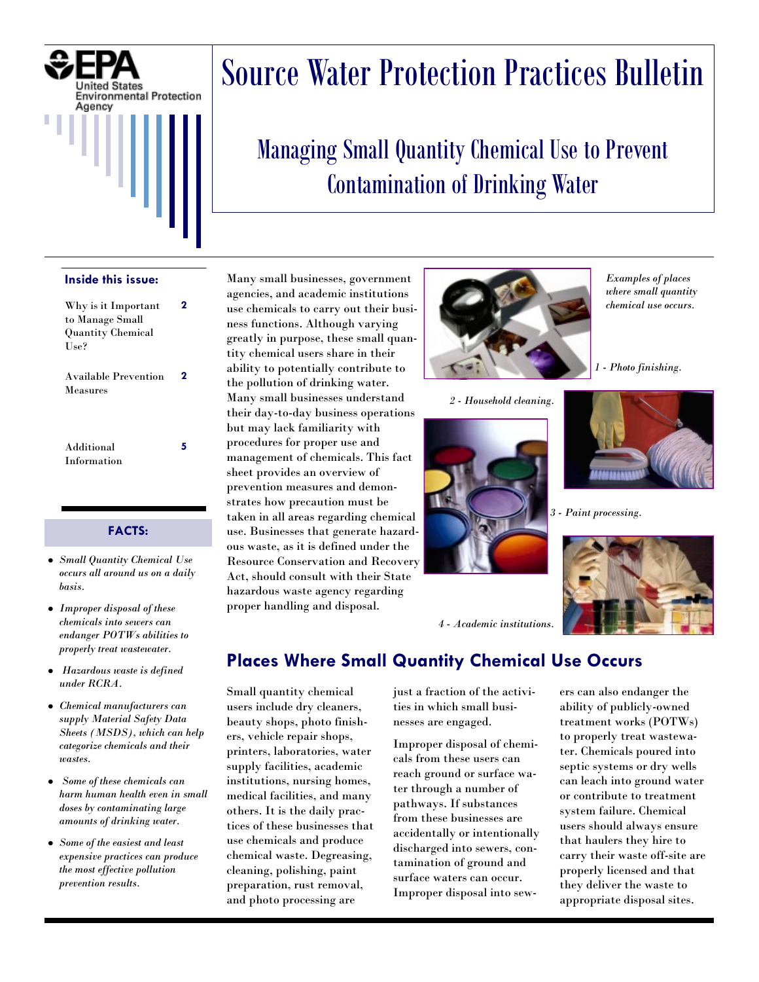

#### **Inside this issue:**

| Why is it Important<br>to Manage Small<br><b>Quantity Chemical</b><br>Use? |   |
|----------------------------------------------------------------------------|---|
| <b>Available Prevention</b><br>Measures                                    | 2 |
| Additional<br>Information                                                  | 5 |

#### **FACTS:**

- *Small Quantity Chemical Use occurs all around us on a daily basis.*
- *Improper disposal of these chemicals into sewers can endanger POTWs abilities to properly treat wastewater.*
- *Hazardous waste is defined*   $\bullet$ *under RCRA.*
- *Chemical manufacturers can supply Material Safety Data Sheets (MSDS), which can help categorize chemicals and their wastes.*
- *Some of these chemicals can harm human health even in small doses by contaminating large amounts of drinking water.*
- *Some of the easiest and least expensive practices can produce the most effective pollution prevention results.*

# Source Water Protection Practices Bulletin

# Managing Small Quantity Chemical Use to Prevent Contamination of Drinking Water

Many small businesses, government agencies, and academic institutions use chemicals to carry out their business functions. Although varying greatly in purpose, these small quantity chemical users share in their ability to potentially contribute to the pollution of drinking water. Many small businesses understand their day-to-day business operations but may lack familiarity with procedures for proper use and management of chemicals. This fact sheet provides an overview of prevention measures and demonstrates how precaution must be taken in all areas regarding chemical use. Businesses that generate hazardous waste, as it is defined under the Resource Conservation and Recovery Act, should consult with their State hazardous waste agency regarding proper handling and disposal.



*2 - Household cleaning.* 



*Examples of places where small quantity chemical use occurs.* 

*1 - Photo finishing.* 



*3 - Paint processing.* 



*4 - Academic institutions.* 

# **Places Where Small Quantity Chemical Use Occurs**

Small quantity chemical users include dry cleaners, beauty shops, photo finishers, vehicle repair shops, printers, laboratories, water supply facilities, academic institutions, nursing homes, medical facilities, and many others. It is the daily practices of these businesses that use chemicals and produce chemical waste. Degreasing, cleaning, polishing, paint preparation, rust removal, and photo processing are

just a fraction of the activities in which small businesses are engaged.

Improper disposal of chemicals from these users can reach ground or surface water through a number of pathways. If substances from these businesses are accidentally or intentionally discharged into sewers, contamination of ground and surface waters can occur. Improper disposal into sewers can also endanger the ability of publicly-owned treatment works (POTWs) to properly treat wastewater. Chemicals poured into septic systems or dry wells can leach into ground water or contribute to treatment system failure. Chemical users should always ensure that haulers they hire to carry their waste off-site are properly licensed and that they deliver the waste to appropriate disposal sites.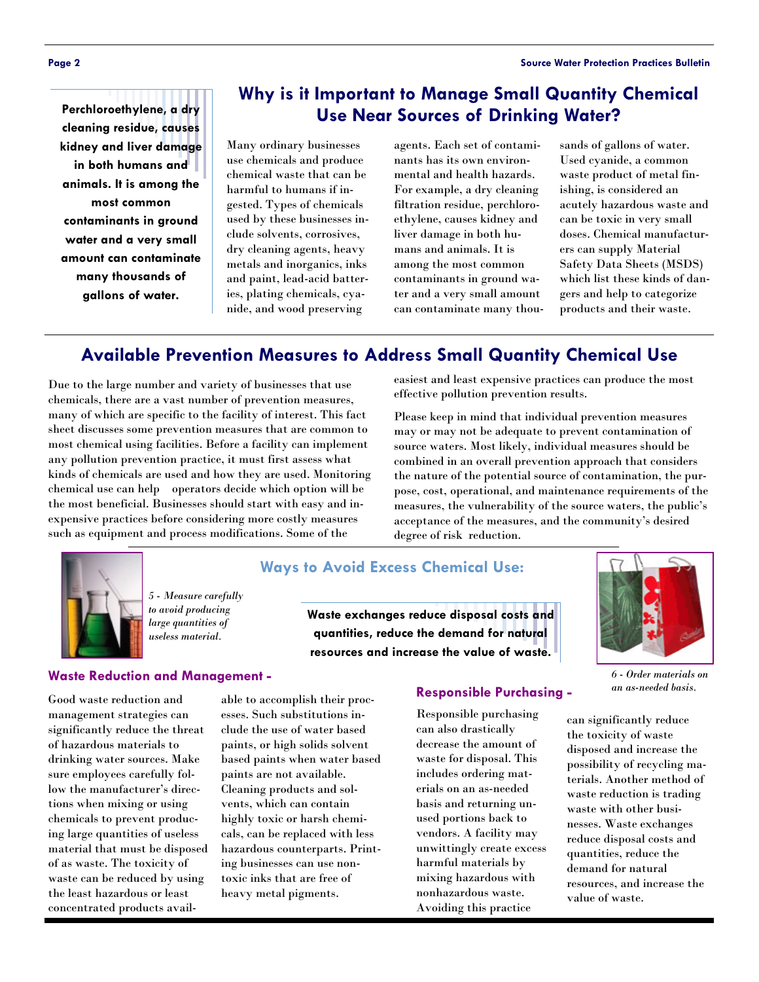**Page 2 Source Water Protection Practices Bulletin** 

**Perchloroethylene, a dry cleaning residue, causes kidney and liver damage in both humans and animals. It is among the most common contaminants in ground water and a very small amount can contaminate many thousands of gallons of water.** 

### **Why is it Important to Manage Small Quantity Chemical Use Near Sources of Drinking Water?**

Many ordinary businesses use chemicals and produce chemical waste that can be harmful to humans if ingested. Types of chemicals used by these businesses include solvents, corrosives, dry cleaning agents, heavy metals and inorganics, inks and paint, lead-acid batteries, plating chemicals, cyanide, and wood preserving

agents. Each set of contaminants has its own environmental and health hazards. For example, a dry cleaning filtration residue, perchloroethylene, causes kidney and liver damage in both humans and animals. It is among the most common contaminants in ground water and a very small amount can contaminate many thou-

sands of gallons of water. Used cyanide, a common waste product of metal finishing, is considered an acutely hazardous waste and can be toxic in very small doses. Chemical manufacturers can supply Material Safety Data Sheets (MSDS) which list these kinds of dangers and help to categorize products and their waste.

## **Available Prevention Measures to Address Small Quantity Chemical Use**

Due to the large number and variety of businesses that use chemicals, there are a vast number of prevention measures, many of which are specific to the facility of interest. This fact sheet discusses some prevention measures that are common to most chemical using facilities. Before a facility can implement any pollution prevention practice, it must first assess what kinds of chemicals are used and how they are used. Monitoring chemical use can help operators decide which option will be the most beneficial. Businesses should start with easy and inexpensive practices before considering more costly measures such as equipment and process modifications. Some of the

> *5 - Measure carefully to avoid producing large quantities of useless material.*

easiest and least expensive practices can produce the most effective pollution prevention results.

Please keep in mind that individual prevention measures may or may not be adequate to prevent contamination of source waters. Most likely, individual measures should be combined in an overall prevention approach that considers the nature of the potential source of contamination, the purpose, cost, operational, and maintenance requirements of the measures, the vulnerability of the source waters, the public's acceptance of the measures, and the community's desired degree of risk reduction.



### **Ways to Avoid Excess Chemical Use:**

**Waste exchanges reduce disposal costs and quantities, reduce the demand for natural resources and increase the value of waste.** 



*6 - Order materials on an as-needed basis.*

can significantly reduce the toxicity of waste disposed and increase the possibility of recycling materials. Another method of waste reduction is trading waste with other businesses. Waste exchanges reduce disposal costs and quantities, reduce the demand for natural resources, and increase the value of waste.

# **Waste Reduction and Management -**

Good waste reduction and management strategies can significantly reduce the threat of hazardous materials to drinking water sources. Make sure employees carefully follow the manufacturer's directions when mixing or using chemicals to prevent producing large quantities of useless material that must be disposed of as waste. The toxicity of waste can be reduced by using the least hazardous or least concentrated products avail-

able to accomplish their processes. Such substitutions include the use of water based paints, or high solids solvent based paints when water based paints are not available. Cleaning products and solvents, which can contain highly toxic or harsh chemicals, can be replaced with less hazardous counterparts. Printing businesses can use nontoxic inks that are free of heavy metal pigments.

#### **Responsible Purchasing -**

Responsible purchasing can also drastically decrease the amount of waste for disposal. This includes ordering materials on an as-needed basis and returning unused portions back to vendors. A facility may unwittingly create excess harmful materials by mixing hazardous with nonhazardous waste. Avoiding this practice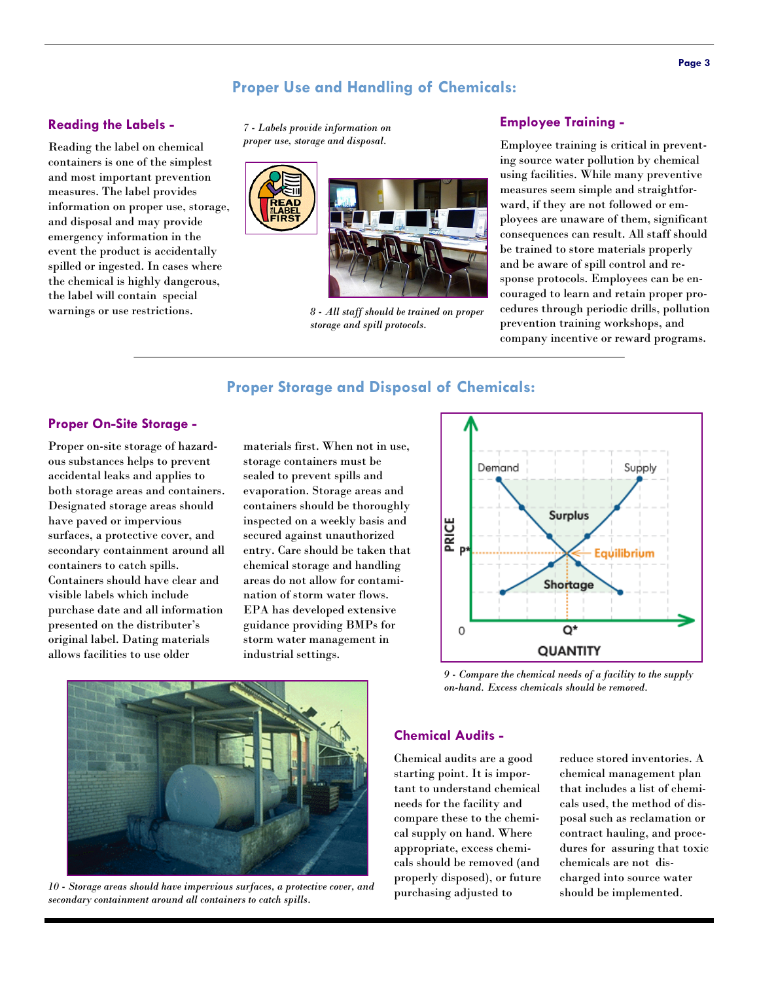#### **Proper Use and Handling of Chemicals:**

#### **Reading the Labels -**

Reading the label on chemical containers is one of the simplest and most important prevention measures. The label provides information on proper use, storage, and disposal and may provide emergency information in the event the product is accidentally spilled or ingested. In cases where the chemical is highly dangerous, the label will contain special warnings or use restrictions.

*proper use, storage and disposal.* 





*8 - All staff should be trained on proper storage and spill protocols.* 

#### **Employee Training -** *7 - Labels provide information on*

Employee training is critical in preventing source water pollution by chemical using facilities. While many preventive measures seem simple and straightforward, if they are not followed or employees are unaware of them, significant consequences can result. All staff should be trained to store materials properly and be aware of spill control and response protocols. Employees can be encouraged to learn and retain proper procedures through periodic drills, pollution prevention training workshops, and company incentive or reward programs.

#### **Proper Storage and Disposal of Chemicals:**

#### **Proper On-Site Storage -**

Proper on-site storage of hazardous substances helps to prevent accidental leaks and applies to both storage areas and containers. Designated storage areas should have paved or impervious surfaces, a protective cover, and secondary containment around all containers to catch spills. Containers should have clear and visible labels which include purchase date and all information presented on the distributer's original label. Dating materials allows facilities to use older

materials first. When not in use, storage containers must be sealed to prevent spills and evaporation. Storage areas and containers should be thoroughly inspected on a weekly basis and secured against unauthorized entry. Care should be taken that chemical storage and handling areas do not allow for contamination of storm water flows. EPA has developed extensive guidance providing BMPs for storm water management in industrial settings.



*9 - Compare the chemical needs of a facility to the supply on-hand. Excess chemicals should be removed.* 



*10 - Storage areas should have impervious surfaces, a protective cover, and secondary containment around all containers to catch spills.* 

#### **Chemical Audits -**

Chemical audits are a good starting point. It is important to understand chemical needs for the facility and compare these to the chemical supply on hand. Where appropriate, excess chemicals should be removed (and properly disposed), or future purchasing adjusted to

reduce stored inventories. A chemical management plan that includes a list of chemicals used, the method of disposal such as reclamation or contract hauling, and procedures for assuring that toxic chemicals are not discharged into source water should be implemented.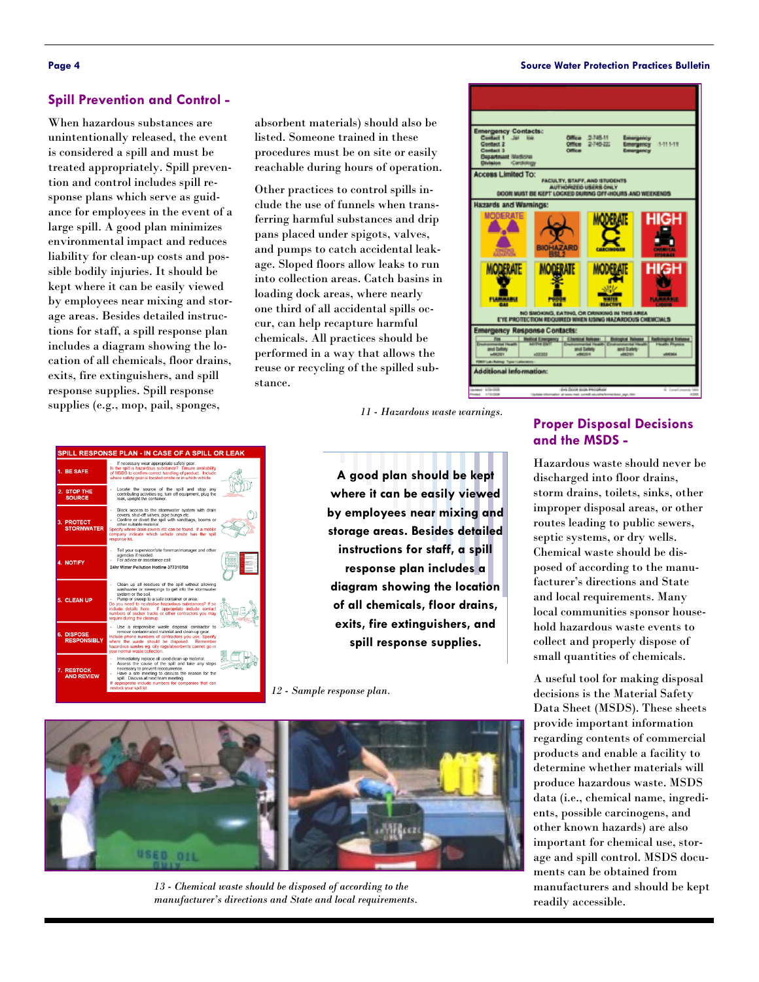#### **Page 4 Source Water Protection Practices Bulletin**

#### **Spill Prevention and Control -**

When hazardous substances are unintentionally released, the event is considered a spill and must be treated appropriately. Spill prevention and control includes spill response plans which serve as guidance for employees in the event of a large spill. A good plan minimizes environmental impact and reduces liability for clean-up costs and possible bodily injuries. It should be kept where it can be easily viewed by employees near mixing and storage areas. Besides detailed instructions for staff, a spill response plan includes a diagram showing the location of all chemicals, floor drains, exits, fire extinguishers, and spill response supplies. Spill response supplies (e.g., mop, pail, sponges,

absorbent materials) should also be listed. Someone trained in these procedures must be on site or easily reachable during hours of operation.

Other practices to control spills include the use of funnels when transferring harmful substances and drip pans placed under spigots, valves, and pumps to catch accidental leakage. Sloped floors allow leaks to run into collection areas. Catch basins in loading dock areas, where nearly one third of all accidental spills occur, can help recapture harmful chemicals. All practices should be performed in a way that allows the reuse or recycling of the spilled substance.

*11 - Hazardous waste warnings.* 



| SPILL RESPONSE PLAN - IN CASE OF A SPILL OR LEAK |                                                                                                                                                                                                                                                                                                                                                                                        |  |
|--------------------------------------------------|----------------------------------------------------------------------------------------------------------------------------------------------------------------------------------------------------------------------------------------------------------------------------------------------------------------------------------------------------------------------------------------|--|
| 1. BE SAFE                                       | If necessary wear appropriate safety gear.<br>Is the spill a hazardous substance? Ensure availability<br>of MSDS to confirm correct handling of product. Include<br>where safety gear is located onsite or in which vehicle.                                                                                                                                                           |  |
| 2. STOP THE<br><b>SOURCE</b>                     | Locate the source of the spill and stop any<br>contributing activities eg. turn off equipment, plug the<br>leak, upright the container.                                                                                                                                                                                                                                                |  |
| 3. PROTECT<br><b>STORMWATER</b>                  | Block access to the stormwater system with drain<br>covers, shut-off valves, pipe bungs etc.<br>Confine or divert the spill with sandbags, booms or<br>other suitable material.<br>Specify where drain covers etc can be found. If a mobile<br>company indicate which vehicle onsite has the spill<br>response kit.                                                                    |  |
| <b>4. NOTIFY</b>                                 | Tell your supervisor/site foreman/manager and other<br>agencies if needed.<br>For advice or assistance call:<br>24hr Water Pollution Hotline 377310700                                                                                                                                                                                                                                 |  |
| 5. CLEAN UP                                      | Clean up all residues of the spill without allowing<br>washwater or sweepings to get into the stormwater<br>system or the soil.<br>Pump or sweep to a safe container or area.<br>Do you need to neutralise hazardous substances? If so<br>include details here. If appropriate include contact<br>numbers of sucker trucks or other contractors you may<br>require during the cleanup. |  |
| 6. DISPOSE<br><b>RESPONSIBLY</b>                 | Use a responsible waste disposal contractor to<br>remove contaminated material and clean-up gear.<br>Include phone numbers of contractors you use. Specify<br>where the waste should be disposed. Remember<br>hazardous wastes eg. oily rags/absorbents cannot go in<br>your normal waste collection.                                                                                  |  |
| 7. RESTOCK<br><b>AND REVIEW</b>                  | Immediately replace all used clean-up material.<br>Assess the cause of the spill and take any steps<br>$\overline{\phantom{a}}$<br>necessary to prevent reoccurrence.<br>Have a site meeting to discuss the reason for the<br>spill. Discuss at next team meeting.<br>If appropriate include numbers for companies that can<br>restock your spill kit.                                 |  |

**A good plan should be kept where it can be easily viewed by employees near mixing and storage areas. Besides detailed instructions for staff, a spill response plan includes a diagram showing the location of all chemicals, floor drains, exits, fire extinguishers, and spill response supplies.** 

*12 - Sample response plan.*



*13 - Chemical waste should be disposed of according to the manufacturer's directions and State and local requirements.* 

#### **Proper Disposal Decisions and the MSDS -**

Hazardous waste should never be discharged into floor drains, storm drains, toilets, sinks, other improper disposal areas, or other routes leading to public sewers, septic systems, or dry wells. Chemical waste should be disposed of according to the manufacturer's directions and State and local requirements. Many local communities sponsor household hazardous waste events to collect and properly dispose of small quantities of chemicals.

A useful tool for making disposal decisions is the Material Safety Data Sheet (MSDS). These sheets provide important information regarding contents of commercial products and enable a facility to determine whether materials will produce hazardous waste. MSDS data (i.e., chemical name, ingredients, possible carcinogens, and other known hazards) are also important for chemical use, storage and spill control. MSDS documents can be obtained from manufacturers and should be kept readily accessible.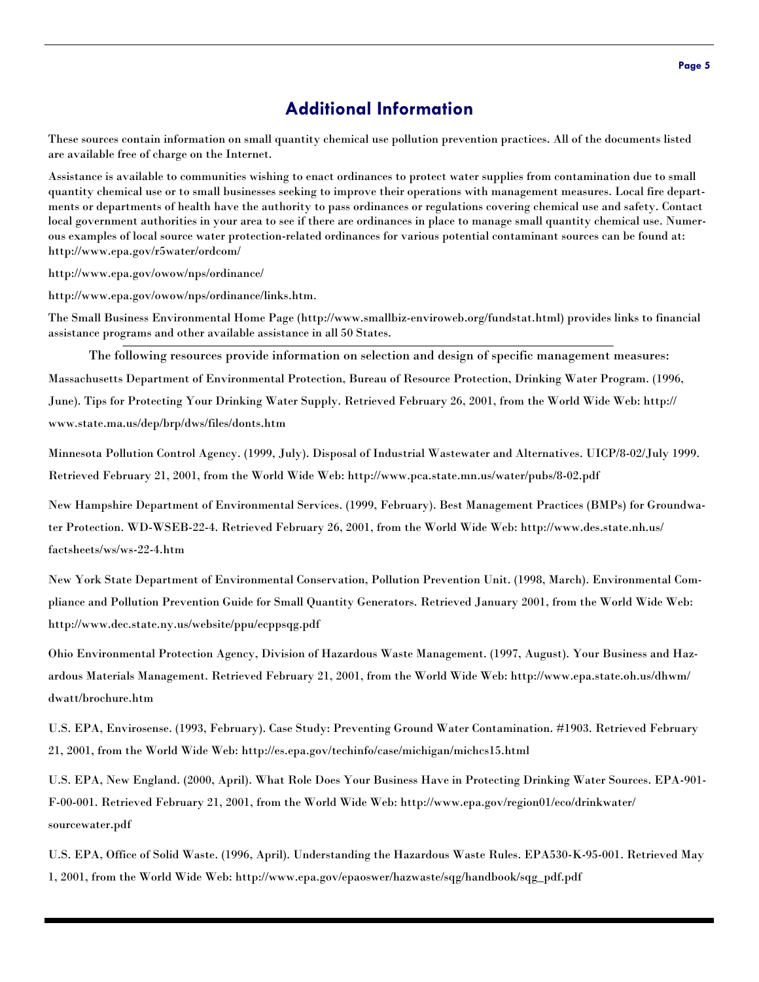### **Additional Information**

These sources contain information on small quantity chemical use pollution prevention practices. All of the documents listed are available free of charge on the Internet.

Assistance is available to communities wishing to enact ordinances to protect water supplies from contamination due to small quantity chemical use or to small businesses seeking to improve their operations with management measures. Local fire departments or departments of health have the authority to pass ordinances or regulations covering chemical use and safety. Contact local government authorities in your area to see if there are ordinances in place to manage small quantity chemical use. Numerous examples of local source water protection-related ordinances for various potential contaminant sources can be found at: http://www.epa.gov/r5water/ordcom/

http://www.epa.gov/owow/nps/ordinance/

http://www.epa.gov/owow/nps/ordinance/links.htm.

The Small Business Environmental Home Page (http://www.smallbiz-enviroweb.org/fundstat.html) provides links to financial assistance programs and other available assistance in all 50 States.

The following resources provide information on selection and design of specific management measures: Massachusetts Department of Environmental Protection, Bureau of Resource Protection, Drinking Water Program. (1996, June). Tips for Protecting Your Drinking Water Supply. Retrieved February 26, 2001, from the World Wide Web: http:// www.state.ma.us/dep/brp/dws/files/donts.htm

Minnesota Pollution Control Agency. (1999, July). Disposal of Industrial Wastewater and Alternatives. UICP/8-02/July 1999. Retrieved February 21, 2001, from the World Wide Web: http://www.pca.state.mn.us/water/pubs/8-02.pdf

New Hampshire Department of Environmental Services. (1999, February). Best Management Practices (BMPs) for Groundwater Protection. WD-WSEB-22-4. Retrieved February 26, 2001, from the World Wide Web: http://www.des.state.nh.us/ factsheets/ws/ws-22-4.htm

New York State Department of Environmental Conservation, Pollution Prevention Unit. (1998, March). Environmental Compliance and Pollution Prevention Guide for Small Quantity Generators. Retrieved January 2001, from the World Wide Web: http://www.dec.state.ny.us/website/ppu/ecppsqg.pdf

Ohio Environmental Protection Agency, Division of Hazardous Waste Management. (1997, August). Your Business and Hazardous Materials Management. Retrieved February 21, 2001, from the World Wide Web: http://www.epa.state.oh.us/dhwm/ dwatt/brochure.htm

U.S. EPA, Envirosense. (1993, February). Case Study: Preventing Ground Water Contamination. #1903. Retrieved February 21, 2001, from the World Wide Web: http://es.epa.gov/techinfo/case/michigan/michcs15.html

U.S. EPA, New England. (2000, April). What Role Does Your Business Have in Protecting Drinking Water Sources. EPA-901- F-00-001. Retrieved February 21, 2001, from the World Wide Web: http://www.epa.gov/region01/eco/drinkwater/ sourcewater.pdf

U.S. EPA, Office of Solid Waste. (1996, April). Understanding the Hazardous Waste Rules. EPA530-K-95-001. Retrieved May 1, 2001, from the World Wide Web: http://www.epa.gov/epaoswer/hazwaste/sqg/handbook/sqg\_pdf.pdf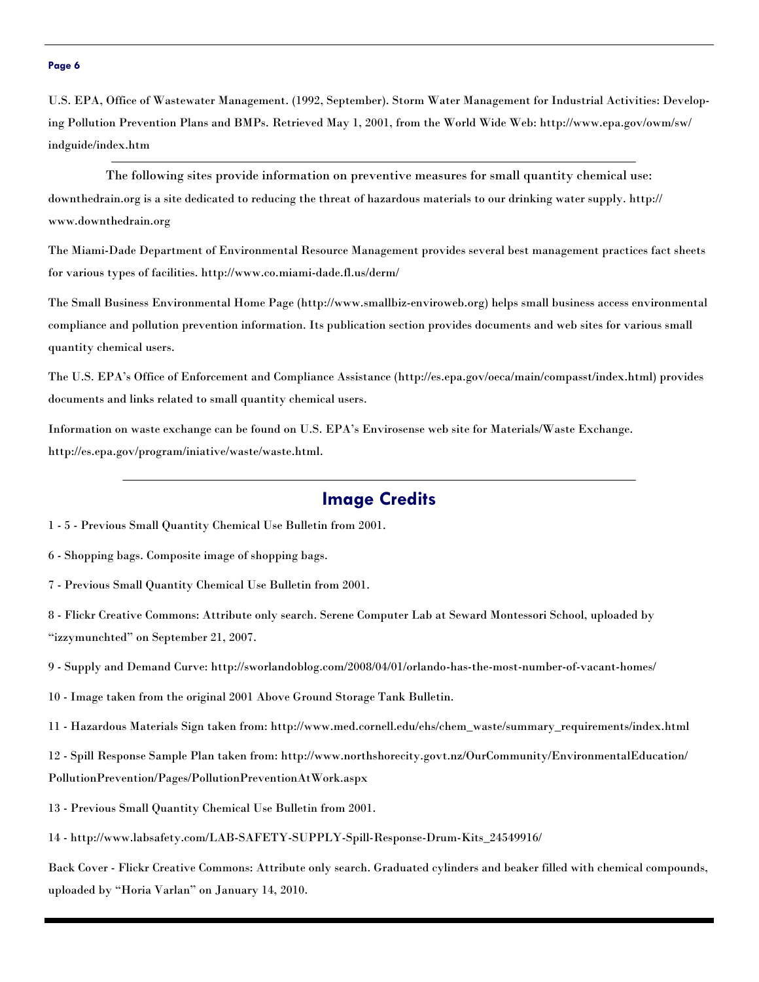#### **Page 6**

U.S. EPA, Office of Wastewater Management. (1992, September). Storm Water Management for Industrial Activities: Developing Pollution Prevention Plans and BMPs. Retrieved May 1, 2001, from the World Wide Web: http://www.epa.gov/owm/sw/ indguide/index.htm

The following sites provide information on preventive measures for small quantity chemical use: downthedrain.org is a site dedicated to reducing the threat of hazardous materials to our drinking water supply. http:// www.downthedrain.org

The Miami-Dade Department of Environmental Resource Management provides several best management practices fact sheets for various types of facilities. http://www.co.miami-dade.fl.us/derm/

The Small Business Environmental Home Page (http://www.smallbiz-enviroweb.org) helps small business access environmental compliance and pollution prevention information. Its publication section provides documents and web sites for various small quantity chemical users.

The U.S. EPA's Office of Enforcement and Compliance Assistance (http://es.epa.gov/oeca/main/compasst/index.html) provides documents and links related to small quantity chemical users.

Information on waste exchange can be found on U.S. EPA's Envirosense web site for Materials/Waste Exchange. http://es.epa.gov/program/iniative/waste/waste.html.

#### **Image Credits**

- 1 5 Previous Small Quantity Chemical Use Bulletin from 2001.
- 6 Shopping bags. Composite image of shopping bags.
- 7 Previous Small Quantity Chemical Use Bulletin from 2001.

8 - Flickr Creative Commons: Attribute only search. Serene Computer Lab at Seward Montessori School, uploaded by "izzymunchted" on September 21, 2007.

9 - Supply and Demand Curve: http://sworlandoblog.com/2008/04/01/orlando-has-the-most-number-of-vacant-homes/

10 - Image taken from the original 2001 Above Ground Storage Tank Bulletin.

11 - Hazardous Materials Sign taken from: http://www.med.cornell.edu/ehs/chem\_waste/summary\_requirements/index.html

12 - Spill Response Sample Plan taken from: http://www.northshorecity.govt.nz/OurCommunity/EnvironmentalEducation/ PollutionPrevention/Pages/PollutionPreventionAtWork.aspx

- 13 Previous Small Quantity Chemical Use Bulletin from 2001.
- 14 http://www.labsafety.com/LAB-SAFETY-SUPPLY-Spill-Response-Drum-Kits\_24549916/

Back Cover - Flickr Creative Commons: Attribute only search. Graduated cylinders and beaker filled with chemical compounds, uploaded by "Horia Varlan" on January 14, 2010.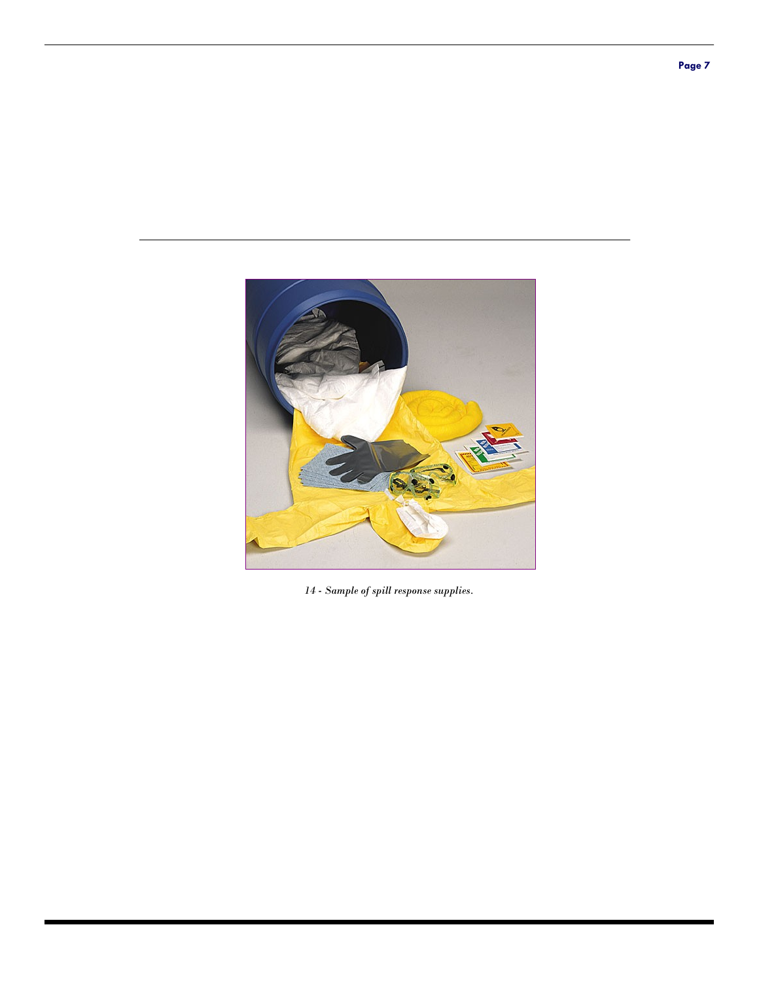

*14 - Sample of spill response supplies.*